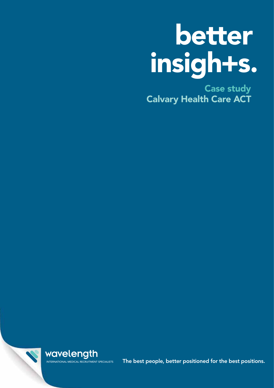# better insigh+s.

Case study Calvary Health Care ACT



INTERNATIONAL MEDICAL RECRUITMENT SPECIALISTS The best people, better positioned for the best positions.